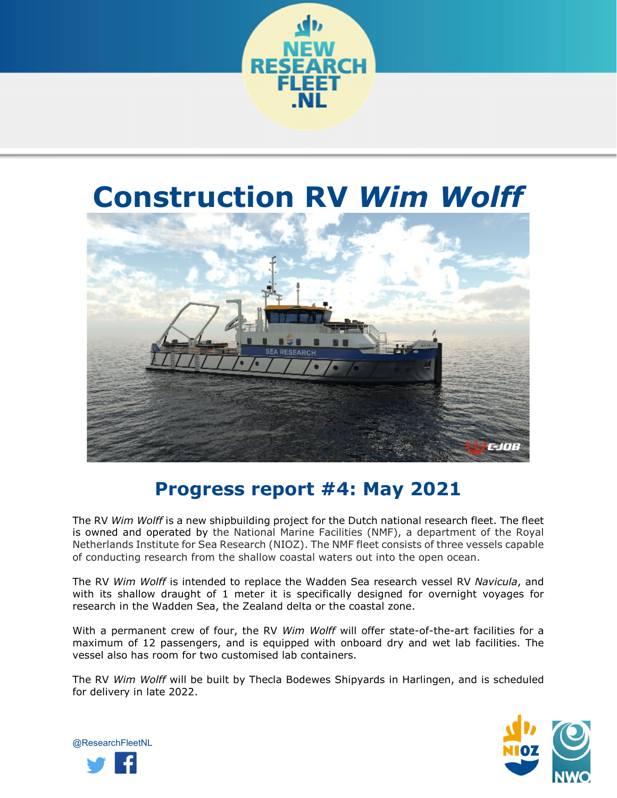

# **Construction RV** *Wim Wolff*



## **Progress report #4: May 2021**

The RV *Wim Wolff* is a new shipbuilding project for the Dutch national research fleet. The fleet is owned and operated by the National Marine Facilities (NMF), a department of the Royal Netherlands Institute for Sea Research (NIOZ). The NMF fleet consists of three vessels capable of conducting research from the shallow coastal waters out into the open ocean.

The RV *Wim Wolff* is intended to replace the Wadden Sea research vessel RV *Navicula*, and with its shallow draught of 1 meter it is specifically designed for overnight voyages for research in the Wadden Sea, the Zealand delta or the coastal zone.

With a permanent crew of four, the RV *Wim Wolff* will offer state-of-the-art facilities for a maximum of 12 passengers, and is equipped with onboard dry and wet lab facilities. The vessel also has room for two customised lab containers.

The RV *Wim Wolff* will be built by Thecla Bodewes Shipyards in Harlingen, and is scheduled for delivery in late 2022.



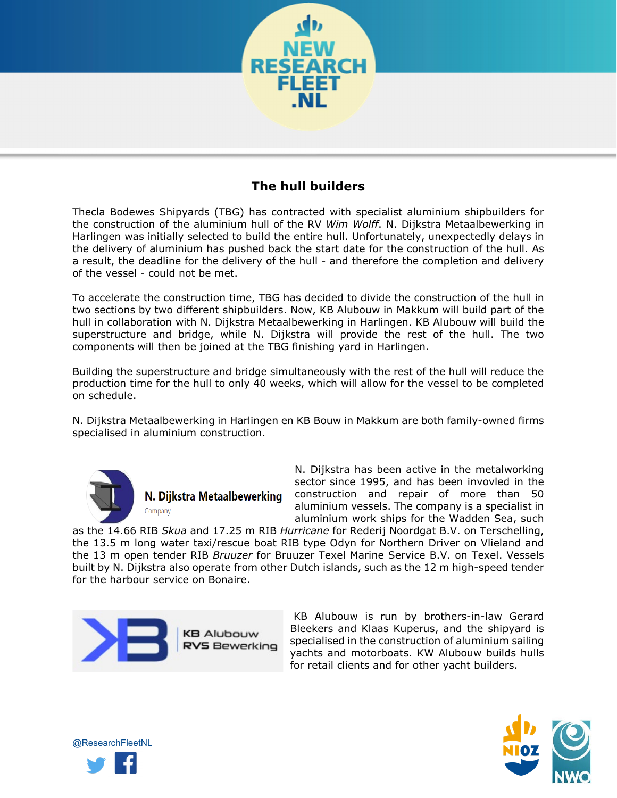

### **The hull builders**

Thecla Bodewes Shipyards (TBG) has contracted with specialist aluminium shipbuilders for the construction of the aluminium hull of the RV *Wim Wolff*. N. Dijkstra Metaalbewerking in Harlingen was initially selected to build the entire hull. Unfortunately, unexpectedly delays in the delivery of aluminium has pushed back the start date for the construction of the hull. As a result, the deadline for the delivery of the hull - and therefore the completion and delivery of the vessel - could not be met.

To accelerate the construction time, TBG has decided to divide the construction of the hull in two sections by two different shipbuilders. Now, KB Alubouw in Makkum will build part of the hull in collaboration with N. Dijkstra Metaalbewerking in Harlingen. KB Alubouw will build the superstructure and bridge, while N. Dijkstra will provide the rest of the hull. The two components will then be joined at the TBG finishing yard in Harlingen.

Building the superstructure and bridge simultaneously with the rest of the hull will reduce the production time for the hull to only 40 weeks, which will allow for the vessel to be completed on schedule.

N. Dijkstra Metaalbewerking in Harlingen en KB Bouw in Makkum are both family-owned firms specialised in aluminium construction.



N. Dijkstra Metaalbewerking Company

N. Dijkstra has been active in the metalworking sector since 1995, and has been invovled in the construction and repair of more than 50 aluminium vessels. The company is a specialist in aluminium work ships for the Wadden Sea, such

as the 14.66 RIB *Skua* and 17.25 m RIB *Hurricane* for Rederij Noordgat B.V. on Terschelling, the 13.5 m long water taxi/rescue boat RIB type Odyn for Northern Driver on Vlieland and the 13 m open tender RIB *Bruuzer* for Bruuzer Texel Marine Service B.V. on Texel. Vessels built by N. Dijkstra also operate from other Dutch islands, such as the 12 m high-speed tender for the harbour service on Bonaire.



KB Alubouw is run by brothers-in-law Gerard Bleekers and Klaas Kuperus, and the shipyard is specialised in the construction of aluminium sailing yachts and motorboats. KW Alubouw builds hulls for retail clients and for other yacht builders.



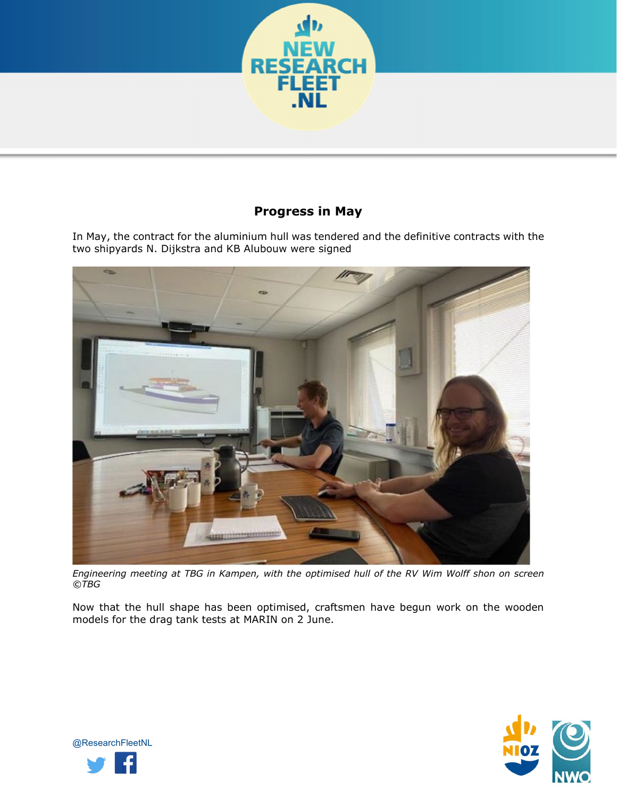

### **Progress in May**

In May, the contract for the aluminium hull was tendered and the definitive contracts with the two shipyards N. Dijkstra and KB Alubouw were signed



*Engineering meeting at TBG in Kampen, with the optimised hull of the RV Wim Wolff shon on screen ©TBG*

Now that the hull shape has been optimised, craftsmen have begun work on the wooden models for the drag tank tests at MARIN on 2 June.